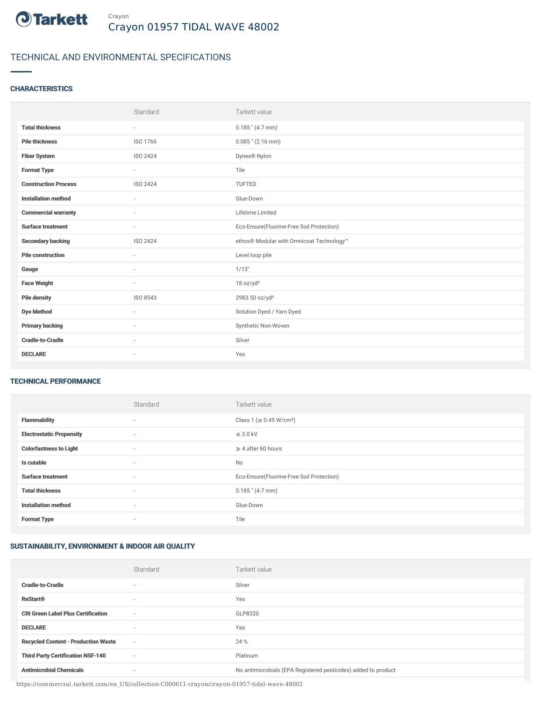

# TECHNICAL AND ENVIRONMENTAL SPECIFICATIONS

## **CHARACTERISTICS**

|                             | Standard                 | Tarkett value                             |
|-----------------------------|--------------------------|-------------------------------------------|
| <b>Total thickness</b>      | $\sim$                   | $0.185$ " (4.7 mm)                        |
| <b>Pile thickness</b>       | ISO 1766                 | $0.085$ " (2.16 mm)                       |
| <b>Fiber System</b>         | ISO 2424                 | Dynex <sup>®</sup> Nylon                  |
| <b>Format Type</b>          | $\sim$                   | Tile                                      |
| <b>Construction Process</b> | ISO 2424                 | TUFTED                                    |
| <b>Installation method</b>  | $\sim$                   | Glue-Down                                 |
| <b>Commercial warranty</b>  | $\overline{\phantom{a}}$ | Lifetime Limited                          |
| <b>Surface treatment</b>    | $\sim$                   | Eco-Ensure(Fluorine-Free Soil Protection) |
| <b>Secondary backing</b>    | ISO 2424                 | ethos® Modular with Omnicoat Technology™  |
| <b>Pile construction</b>    | $\sim$                   | Level loop pile                           |
| Gauge                       |                          | 1/13"                                     |
| <b>Face Weight</b>          | $\sim$                   | 18 oz/yd <sup>2</sup>                     |
| <b>Pile density</b>         | ISO 8543                 | 2983.50 oz/yd <sup>3</sup>                |
| <b>Dye Method</b>           | $\sim$                   | Solution Dyed / Yarn Dyed                 |
| <b>Primary backing</b>      | $\sim$                   | Synthetic Non-Woven                       |
| <b>Cradle-to-Cradle</b>     | $\sim$                   | Silver                                    |
| <b>DECLARE</b>              | $\sim$                   | Yes                                       |

#### TECHNICAL PERFORMANCE

|                                 | Standard | Tarkett value                             |
|---------------------------------|----------|-------------------------------------------|
| <b>Flammability</b>             | $\sim$   | Class 1 (≥ 0.45 W/cm <sup>2</sup> )       |
| <b>Electrostatic Propensity</b> | $\sim$   | $\leq$ 3.0 kV                             |
| <b>Colorfastness to Light</b>   | $\sim$   | $\geq$ 4 after 60 hours                   |
| Is cutable                      | ٠        | <b>No</b>                                 |
| <b>Surface treatment</b>        | ٠        | Eco-Ensure(Fluorine-Free Soil Protection) |
| <b>Total thickness</b>          | ٠        | $0.185$ " (4.7 mm)                        |
| <b>Installation method</b>      | $\sim$   | Glue-Down                                 |
| <b>Format Type</b>              | $\sim$   | Tile                                      |

## SUSTAINABILITY, ENVIRONMENT & INDOOR AIR QUALITY

|                                            | Standard                 | Tarkett value                                                  |
|--------------------------------------------|--------------------------|----------------------------------------------------------------|
| <b>Cradle-to-Cradle</b>                    | $\overline{\phantom{a}}$ | Silver                                                         |
| <b>ReStart®</b>                            | $\overline{\phantom{a}}$ | Yes                                                            |
| <b>CRI Green Label Plus Certification</b>  | $\overline{\phantom{a}}$ | GLP8320                                                        |
| <b>DECLARE</b>                             | $\overline{\phantom{a}}$ | Yes                                                            |
| <b>Recycled Content - Production Waste</b> | $\sim$                   | 24 %                                                           |
| <b>Third Party Certification NSF-140</b>   | $\overline{\phantom{a}}$ | Platinum                                                       |
| <b>Antimicrobial Chemicals</b>             | $\overline{\phantom{a}}$ | No antimicrobials (EPA Registered pesticides) added to product |

https://commercial.tarkett.com/en\_US/collection-C000611-crayon/crayon-01957-tidal-wave-48002